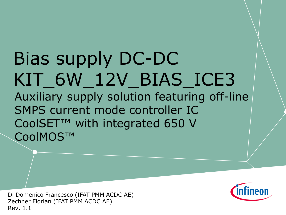# Bias supply DC-DC KIT\_6W\_12V\_BIAS\_ICE3 Auxiliary supply solution featuring off-line SMPS current mode controller IC CoolSET™ with integrated 650 V CoolMOS™

Di Domenico Francesco (IFAT PMM ACDC AE) Zechner Florian (IFAT PMM ACDC AE) Rev. 1.1

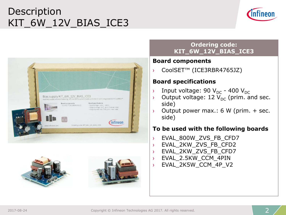# Description KIT\_6W\_12V\_BIAS\_ICE3









#### **Ordering code: KIT\_6W\_12V\_BIAS\_ICE3**

#### **Board components**

CoolSET<sup>™</sup> (ICE3RBR4765JZ)

#### **Board specifications**

- $\rightarrow$  Input voltage: 90 V<sub>DC</sub> 400 V<sub>DC</sub>
- $\rightarrow$  Output voltage: 12  $V_{DC}$  (prim. and sec. side)
- $\rightarrow$  Output power max.: 6 W (prim. + sec. side)

#### **To be used with the following boards**

- › EVAL\_800W\_ZVS\_FB\_CFD7
- › EVAL\_2KW\_ZVS\_FB\_CFD2
- › EVAL\_2KW\_ZVS\_FB\_CFD7
- › EVAL\_2.5KW\_CCM\_4PIN
- › EVAL\_2K5W\_CCM\_4P\_V2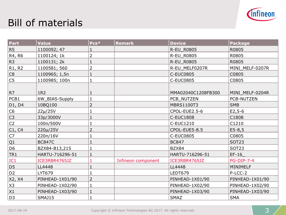

# Bill of materials

| Part                            | Value           | $Pcs*$         | <b>Remark</b>      | <b>Device</b>      | <b>Package</b>    |
|---------------------------------|-----------------|----------------|--------------------|--------------------|-------------------|
| R <sub>5</sub>                  | 1100092; 47     |                |                    | <b>R-EU R0805</b>  | R0805             |
| R4, R6                          | 1100124; 1k     | 2              |                    | R-EU_R0805         | R0805             |
| R <sub>3</sub>                  | 1100131; 2k     |                |                    | R-EU_R0805         | R0805             |
| R <sub>1</sub> , R <sub>2</sub> | 1100581; 560    | 2              |                    | R-EU_MELF0207R     | MINI_MELF-0207R   |
| C <sub>8</sub>                  | 1100965; 1,5n   |                |                    | <b>C-EUC0805</b>   | C0805             |
| C <sub>5</sub>                  | 1100985; 100n   |                |                    | <b>C-EUC0805</b>   | C0805             |
| R7                              | 1R2             |                |                    | MMA02040C1208FB300 | MINI_MELF-0204R   |
| PCB1                            | 6W_BIAS-Supply  |                |                    | PCB_NUTZEN         | PCB-NUTZEN        |
| D1, D4                          | 10BQ100         | $\overline{2}$ |                    | <b>MBRS1100T3</b>  | <b>SMB</b>        |
| C6                              | $22\mu/25V$     |                |                    | CPOL-EUE2.5-6      | $E2, 5-6$         |
| C <sub>3</sub>                  | 33p/3000V       |                |                    | <b>C-EUC1808</b>   | C1808             |
| C <sub>2</sub>                  | 100n/500V       |                |                    | C-EUC1210          | C1210             |
| C1, C4                          | 220µ/25V        | $\overline{2}$ |                    | CPOL-EUE5-8.5      | $E5 - 8,5$        |
| C7                              | 220n/16V        |                |                    | <b>C-EUC0805</b>   | C0805             |
| Q1                              | <b>BC847C</b>   |                |                    | <b>BC847</b>       | SOT <sub>23</sub> |
| D <sub>6</sub>                  | BZX84-B13,215   |                |                    | BZX84              | <b>SOT23</b>      |
| TR1                             | HARTU-716296-51 |                |                    | HARTU-716296-51    | $EF-16$           |
| IC <sub>1</sub>                 | ICE3RBR4765JZ   |                | Infineon component | ICE3RBR4765JZ      | <b>PG-DIP-7-4</b> |
| D <sub>5</sub>                  | LL4448          |                |                    | LL4448             | MINIMELF          |
| D <sub>2</sub>                  | LYT679          |                |                    | LEDT679            | P-LCC-2           |
| X2, X4                          | PINHEAD-1X01/90 | 2              |                    | PINHEAD-1X01/90    | PINHEAD-1X01/90   |
| X <sub>3</sub>                  | PINHEAD-1X02/90 |                |                    | PINHEAD-1X02/90    | PINHEAD-1X02/90   |
| X1                              | PINHEAD-1X03/90 |                |                    | PINHEAD-1X03/90    | PINHEAD-1X03/90   |
| D <sub>3</sub>                  | <b>SMAJ15</b>   |                |                    | <b>SMAZ</b>        | <b>SMA</b>        |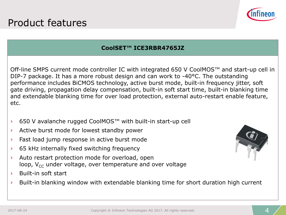

#### **CoolSET™ ICE3RBR4765JZ**

Off-line SMPS current mode controller IC with integrated 650 V CoolMOS™ and start-up cell in DIP-7 package. It has a more robust design and can work to -40°C. The outstanding performance includes BiCMOS technology, active burst mode, built-in frequency jitter, soft gate driving, propagation delay compensation, built-in soft start time, built-in blanking time and extendable blanking time for over load protection, external auto-restart enable feature, etc.

- › 650 V avalanche rugged CoolMOS™ with built-in start-up cell
- › Active burst mode for lowest standby power
- › Fast load jump response in active burst mode
- › 65 kHz internally fixed switching frequency
- › Auto restart protection mode for overload, open loop,  $V_{cc}$  under voltage, over temperature and over voltage
- › Built-in soft start
- › Built-in blanking window with extendable blanking time for short duration high current

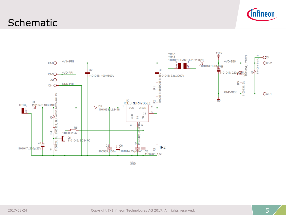

### **Schematic**

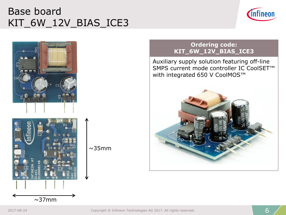# Base board KIT\_6W\_12V\_BIAS\_ICE3





 $\sim$ 37mm





#### **Ordering code: KIT\_6W\_12V\_BIAS\_ICE3**

Auxiliary supply solution featuring off-line SMPS current mode controller IC CoolSET™ with integrated 650 V CoolMOS™

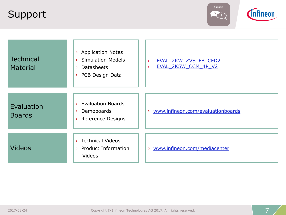## Support



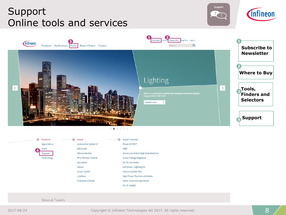## Support Online tools and services







Products Power m. Power Overview Applications Automotive System IC Power MOSFET ESD & EMI **IGBT** Tools **4** Microcontroller Smart Low-Side & High-Side Switches Support RF & Wireless Control Technology Linear Voltage Regulator Security IC DC-DC Converter Sensor **LED Driver | Lighting ICs Smart Card IC** Silicon Carbide (SiC) Interface High Power Thyristors & Diodes **Transistor & Diode** Motor Control & Gate Driver AC-DC Supply

News & Tweets

2017-08-24 Copyright © Infineon Technologies AG 2017. All rights reserved.